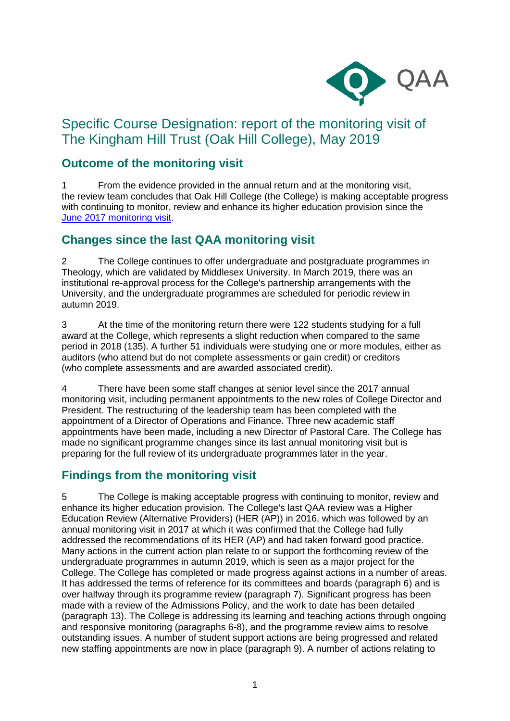

# Specific Course Designation: report of the monitoring visit of The Kingham Hill Trust (Oak Hill College), May 2019

## **Outcome of the monitoring visit**

1 From the evidence provided in the annual return and at the monitoring visit, the review team concludes that Oak Hill College (the College) is making acceptable progress with continuing to monitor, review and enhance its higher education provision since the [June 2017 monitoring visit.](https://www.qaa.ac.uk/reviewing-higher-education/quality-assurance-reports/The-Kingham-Hill-Trust-Oak-Hill-College-)

### **Changes since the last QAA monitoring visit**

2 The College continues to offer undergraduate and postgraduate programmes in Theology, which are validated by Middlesex University. In March 2019, there was an institutional re-approval process for the College's partnership arrangements with the University, and the undergraduate programmes are scheduled for periodic review in autumn 2019.

3 At the time of the monitoring return there were 122 students studying for a full award at the College, which represents a slight reduction when compared to the same period in 2018 (135). A further 51 individuals were studying one or more modules, either as auditors (who attend but do not complete assessments or gain credit) or creditors (who complete assessments and are awarded associated credit).

4 There have been some staff changes at senior level since the 2017 annual monitoring visit, including permanent appointments to the new roles of College Director and President. The restructuring of the leadership team has been completed with the appointment of a Director of Operations and Finance. Three new academic staff appointments have been made, including a new Director of Pastoral Care. The College has made no significant programme changes since its last annual monitoring visit but is preparing for the full review of its undergraduate programmes later in the year.

### **Findings from the monitoring visit**

5 The College is making acceptable progress with continuing to monitor, review and enhance its higher education provision. The College's last QAA review was a Higher Education Review (Alternative Providers) (HER (AP)) in 2016, which was followed by an annual monitoring visit in 2017 at which it was confirmed that the College had fully addressed the recommendations of its HER (AP) and had taken forward good practice. Many actions in the current action plan relate to or support the forthcoming review of the undergraduate programmes in autumn 2019, which is seen as a major project for the College. The College has completed or made progress against actions in a number of areas. It has addressed the terms of reference for its committees and boards (paragraph 6) and is over halfway through its programme review (paragraph 7). Significant progress has been made with a review of the Admissions Policy, and the work to date has been detailed (paragraph 13). The College is addressing its learning and teaching actions through ongoing and responsive monitoring (paragraphs 6-8), and the programme review aims to resolve outstanding issues. A number of student support actions are being progressed and related new staffing appointments are now in place (paragraph 9). A number of actions relating to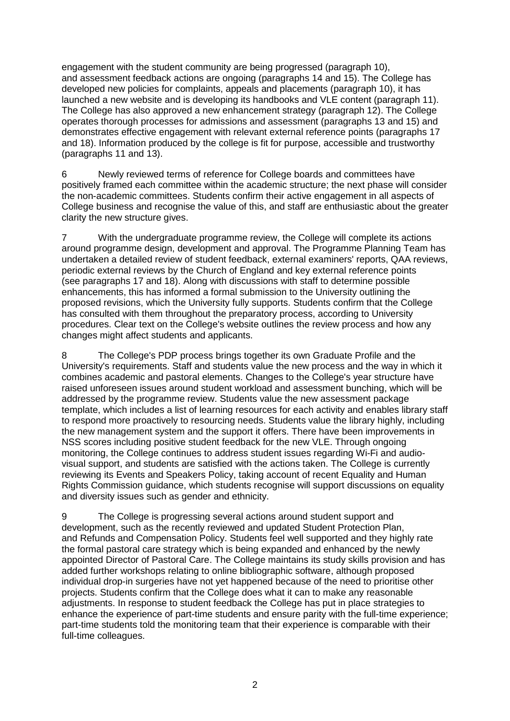engagement with the student community are being progressed (paragraph 10), and assessment feedback actions are ongoing (paragraphs 14 and 15). The College has developed new policies for complaints, appeals and placements (paragraph 10), it has launched a new website and is developing its handbooks and VLE content (paragraph 11). The College has also approved a new enhancement strategy (paragraph 12). The College operates thorough processes for admissions and assessment (paragraphs 13 and 15) and demonstrates effective engagement with relevant external reference points (paragraphs 17 and 18). Information produced by the college is fit for purpose, accessible and trustworthy (paragraphs 11 and 13).

6 Newly reviewed terms of reference for College boards and committees have positively framed each committee within the academic structure; the next phase will consider the non-academic committees. Students confirm their active engagement in all aspects of College business and recognise the value of this, and staff are enthusiastic about the greater clarity the new structure gives.

7 With the undergraduate programme review, the College will complete its actions around programme design, development and approval. The Programme Planning Team has undertaken a detailed review of student feedback, external examiners' reports, QAA reviews, periodic external reviews by the Church of England and key external reference points (see paragraphs 17 and 18). Along with discussions with staff to determine possible enhancements, this has informed a formal submission to the University outlining the proposed revisions, which the University fully supports. Students confirm that the College has consulted with them throughout the preparatory process, according to University procedures. Clear text on the College's website outlines the review process and how any changes might affect students and applicants.

8 The College's PDP process brings together its own Graduate Profile and the University's requirements. Staff and students value the new process and the way in which it combines academic and pastoral elements. Changes to the College's year structure have raised unforeseen issues around student workload and assessment bunching, which will be addressed by the programme review. Students value the new assessment package template, which includes a list of learning resources for each activity and enables library staff to respond more proactively to resourcing needs. Students value the library highly, including the new management system and the support it offers. There have been improvements in NSS scores including positive student feedback for the new VLE. Through ongoing monitoring, the College continues to address student issues regarding Wi-Fi and audiovisual support, and students are satisfied with the actions taken. The College is currently reviewing its Events and Speakers Policy, taking account of recent Equality and Human Rights Commission guidance, which students recognise will support discussions on equality and diversity issues such as gender and ethnicity.

9 The College is progressing several actions around student support and development, such as the recently reviewed and updated Student Protection Plan, and Refunds and Compensation Policy. Students feel well supported and they highly rate the formal pastoral care strategy which is being expanded and enhanced by the newly appointed Director of Pastoral Care. The College maintains its study skills provision and has added further workshops relating to online bibliographic software, although proposed individual drop-in surgeries have not yet happened because of the need to prioritise other projects. Students confirm that the College does what it can to make any reasonable adjustments. In response to student feedback the College has put in place strategies to enhance the experience of part-time students and ensure parity with the full-time experience; part-time students told the monitoring team that their experience is comparable with their full-time colleagues.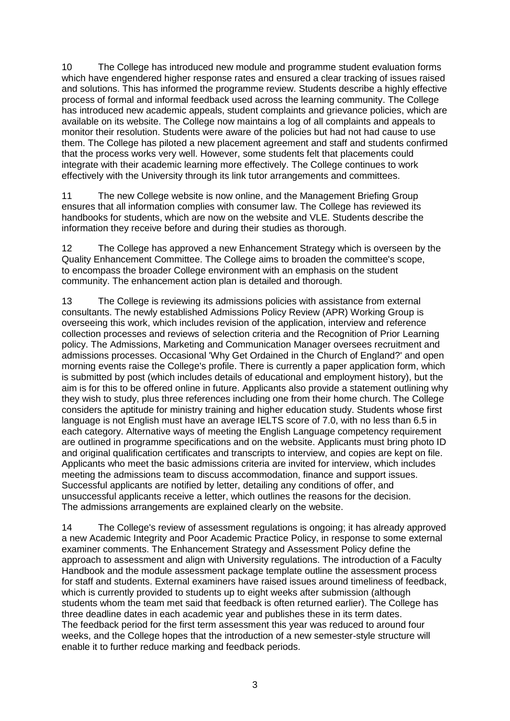10 The College has introduced new module and programme student evaluation forms which have engendered higher response rates and ensured a clear tracking of issues raised and solutions. This has informed the programme review. Students describe a highly effective process of formal and informal feedback used across the learning community. The College has introduced new academic appeals, student complaints and grievance policies, which are available on its website. The College now maintains a log of all complaints and appeals to monitor their resolution. Students were aware of the policies but had not had cause to use them. The College has piloted a new placement agreement and staff and students confirmed that the process works very well. However, some students felt that placements could integrate with their academic learning more effectively. The College continues to work effectively with the University through its link tutor arrangements and committees.

11 The new College website is now online, and the Management Briefing Group ensures that all information complies with consumer law. The College has reviewed its handbooks for students, which are now on the website and VLE. Students describe the information they receive before and during their studies as thorough.

12 The College has approved a new Enhancement Strategy which is overseen by the Quality Enhancement Committee. The College aims to broaden the committee's scope, to encompass the broader College environment with an emphasis on the student community. The enhancement action plan is detailed and thorough.

13 The College is reviewing its admissions policies with assistance from external consultants. The newly established Admissions Policy Review (APR) Working Group is overseeing this work, which includes revision of the application, interview and reference collection processes and reviews of selection criteria and the Recognition of Prior Learning policy. The Admissions, Marketing and Communication Manager oversees recruitment and admissions processes. Occasional 'Why Get Ordained in the Church of England?' and open morning events raise the College's profile. There is currently a paper application form, which is submitted by post (which includes details of educational and employment history), but the aim is for this to be offered online in future. Applicants also provide a statement outlining why they wish to study, plus three references including one from their home church. The College considers the aptitude for ministry training and higher education study. Students whose first language is not English must have an average IELTS score of 7.0, with no less than 6.5 in each category. Alternative ways of meeting the English Language competency requirement are outlined in programme specifications and on the website. Applicants must bring photo ID and original qualification certificates and transcripts to interview, and copies are kept on file. Applicants who meet the basic admissions criteria are invited for interview, which includes meeting the admissions team to discuss accommodation, finance and support issues. Successful applicants are notified by letter, detailing any conditions of offer, and unsuccessful applicants receive a letter, which outlines the reasons for the decision. The admissions arrangements are explained clearly on the website.

14 The College's review of assessment regulations is ongoing; it has already approved a new Academic Integrity and Poor Academic Practice Policy, in response to some external examiner comments. The Enhancement Strategy and Assessment Policy define the approach to assessment and align with University regulations. The introduction of a Faculty Handbook and the module assessment package template outline the assessment process for staff and students. External examiners have raised issues around timeliness of feedback, which is currently provided to students up to eight weeks after submission (although students whom the team met said that feedback is often returned earlier). The College has three deadline dates in each academic year and publishes these in its term dates. The feedback period for the first term assessment this year was reduced to around four weeks, and the College hopes that the introduction of a new semester-style structure will enable it to further reduce marking and feedback periods.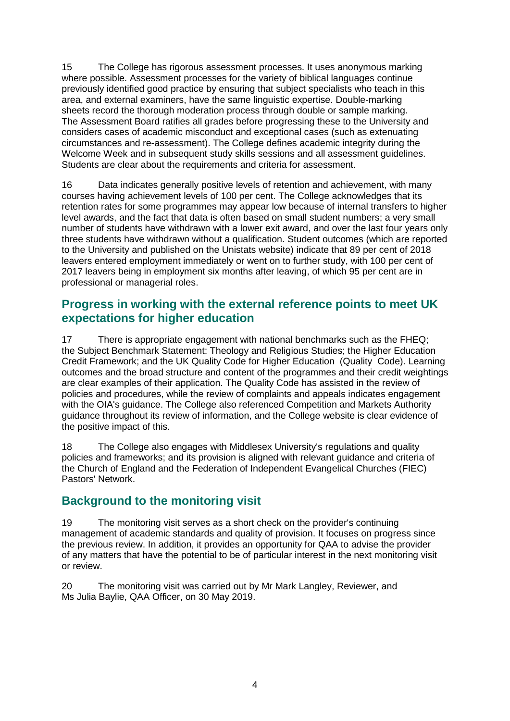15 The College has rigorous assessment processes. It uses anonymous marking where possible. Assessment processes for the variety of biblical languages continue previously identified good practice by ensuring that subject specialists who teach in this area, and external examiners, have the same linguistic expertise. Double-marking sheets record the thorough moderation process through double or sample marking. The Assessment Board ratifies all grades before progressing these to the University and considers cases of academic misconduct and exceptional cases (such as extenuating circumstances and re-assessment). The College defines academic integrity during the Welcome Week and in subsequent study skills sessions and all assessment guidelines. Students are clear about the requirements and criteria for assessment.

16 Data indicates generally positive levels of retention and achievement, with many courses having achievement levels of 100 per cent. The College acknowledges that its retention rates for some programmes may appear low because of internal transfers to higher level awards, and the fact that data is often based on small student numbers; a very small number of students have withdrawn with a lower exit award, and over the last four years only three students have withdrawn without a qualification. Student outcomes (which are reported to the University and published on the Unistats website) indicate that 89 per cent of 2018 leavers entered employment immediately or went on to further study, with 100 per cent of 2017 leavers being in employment six months after leaving, of which 95 per cent are in professional or managerial roles.

#### **Progress in working with the external reference points to meet UK expectations for higher education**

17 There is appropriate engagement with national benchmarks such as the FHEQ; the Subject Benchmark Statement: Theology and Religious Studies; the Higher Education Credit Framework; and the UK Quality Code for Higher Education (Quality Code). Learning outcomes and the broad structure and content of the programmes and their credit weightings are clear examples of their application. The Quality Code has assisted in the review of policies and procedures, while the review of complaints and appeals indicates engagement with the OIA's guidance. The College also referenced Competition and Markets Authority guidance throughout its review of information, and the College website is clear evidence of the positive impact of this.

18 The College also engages with Middlesex University's regulations and quality policies and frameworks; and its provision is aligned with relevant guidance and criteria of the Church of England and the Federation of Independent Evangelical Churches (FIEC) Pastors' Network.

### **Background to the monitoring visit**

19 The monitoring visit serves as a short check on the provider's continuing management of academic standards and quality of provision. It focuses on progress since the previous review. In addition, it provides an opportunity for QAA to advise the provider of any matters that have the potential to be of particular interest in the next monitoring visit or review.

20 The monitoring visit was carried out by Mr Mark Langley, Reviewer, and Ms Julia Baylie, QAA Officer, on 30 May 2019.